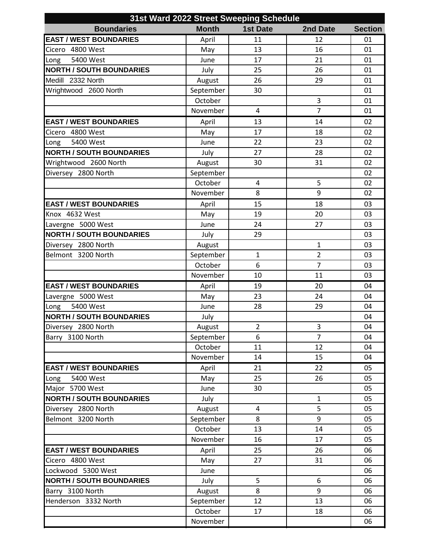| 31st Ward 2022 Street Sweeping Schedule |              |                 |                |                |  |  |  |
|-----------------------------------------|--------------|-----------------|----------------|----------------|--|--|--|
| <b>Boundaries</b>                       | <b>Month</b> | <b>1st Date</b> | 2nd Date       | <b>Section</b> |  |  |  |
| <b>EAST / WEST BOUNDARIES</b>           | April        | 11              | 12             | 01             |  |  |  |
| Cicero 4800 West                        | May          | 13              | 16             | 01             |  |  |  |
| 5400 West<br>Long                       | June         | 17              | 21             | 01             |  |  |  |
| <b>NORTH / SOUTH BOUNDARIES</b>         | July         | 25              | 26             | 01             |  |  |  |
| Medill 2332 North                       | August       | 26              | 29             | 01             |  |  |  |
| Wrightwood 2600 North                   | September    | 30              |                | 01             |  |  |  |
|                                         | October      |                 | 3              | 01             |  |  |  |
|                                         | November     | 4               | $\overline{7}$ | 01             |  |  |  |
| <b>EAST / WEST BOUNDARIES</b>           | April        | 13              | 14             | 02             |  |  |  |
| Cicero 4800 West                        | May          | 17              | 18             | 02             |  |  |  |
| 5400 West<br>Long                       | June         | 22              | 23             | 02             |  |  |  |
| <b>NORTH / SOUTH BOUNDARIES</b>         | July         | 27              | 28             | 02             |  |  |  |
| Wrightwood 2600 North                   | August       | 30              | 31             | 02             |  |  |  |
| Diversey 2800 North                     | September    |                 |                | 02             |  |  |  |
|                                         | October      | 4               | 5              | 02             |  |  |  |
|                                         | November     | 8               | 9              | 02             |  |  |  |
| <b>EAST / WEST BOUNDARIES</b>           | April        | 15              | 18             | 03             |  |  |  |
| Knox 4632 West                          | May          | 19              | 20             | 03             |  |  |  |
| Lavergne 5000 West                      | June         | 24              | 27             | 03             |  |  |  |
| <b>NORTH / SOUTH BOUNDARIES</b>         | July         | 29              |                | 03             |  |  |  |
| Diversey 2800 North                     | August       |                 | 1              | 03             |  |  |  |
| Belmont 3200 North                      | September    | $\mathbf{1}$    | $\overline{2}$ | 03             |  |  |  |
|                                         | October      | 6               | $\overline{7}$ | 03             |  |  |  |
|                                         | November     | 10              | 11             | 03             |  |  |  |
| <b>EAST / WEST BOUNDARIES</b>           | April        | 19              | 20             | 04             |  |  |  |
| Lavergne 5000 West                      | May          | 23              | 24             | 04             |  |  |  |
| 5400 West<br>Long                       | June         | 28              | 29             | 04             |  |  |  |
| <b>NORTH / SOUTH BOUNDARIES</b>         | July         |                 |                | 04             |  |  |  |
| Diversey 2800 North                     | August       | $\overline{2}$  | 3              | 04             |  |  |  |
| Barry 3100 North                        | September    | 6               | $\overline{7}$ | 04             |  |  |  |
|                                         | October      | 11              | 12             | 04             |  |  |  |
|                                         | November     | 14              | 15             | 04             |  |  |  |
| <b>EAST / WEST BOUNDARIES</b>           | April        | 21              | 22             | 05             |  |  |  |
| 5400 West<br>Long                       | May          | 25              | 26             | 05             |  |  |  |
| Major 5700 West                         | June         | 30              |                | 05             |  |  |  |
| <b>NORTH / SOUTH BOUNDARIES</b>         | July         |                 | $\mathbf{1}$   | 05             |  |  |  |
| Diversey 2800 North                     | August       | $\overline{4}$  | 5              | 05             |  |  |  |
| Belmont 3200 North                      | September    | 8               | 9              | 05             |  |  |  |
|                                         | October      | 13              | 14             | 05             |  |  |  |
|                                         | November     | 16              | 17             | 05             |  |  |  |
| <b>EAST / WEST BOUNDARIES</b>           | April        | 25              | 26             | 06             |  |  |  |
| Cicero 4800 West                        | May          | 27              | 31             | 06             |  |  |  |
| Lockwood 5300 West                      | June         |                 |                | 06             |  |  |  |
| <b>NORTH / SOUTH BOUNDARIES</b>         | July         | 5               | 6              | 06             |  |  |  |
| Barry 3100 North                        | August       | 8               | 9              | 06             |  |  |  |
| Henderson 3332 North                    | September    | 12              | 13             | 06             |  |  |  |
|                                         | October      | 17              | 18             | 06             |  |  |  |
|                                         | November     |                 |                | 06             |  |  |  |